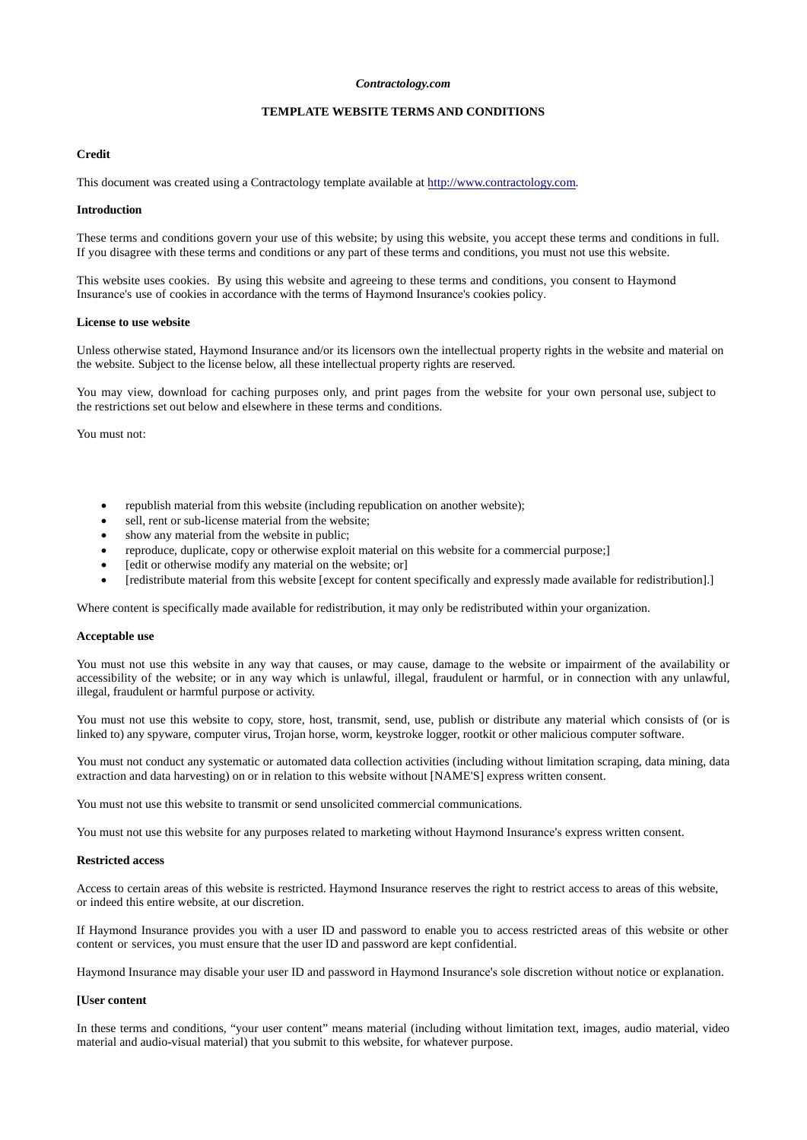## *Contractology.com*

# **TEMPLATE WEBSITE TERMS AND CONDITIONS**

## **Credit**

This document was created using a Contractology template available at [http://www.contractology.com.](http://www.contractology.com/)

#### **Introduction**

These terms and conditions govern your use of this website; by using this website, you accept these terms and conditions in full. If you disagree with these terms and conditions or any part of these terms and conditions, you must not use this website.

This website uses cookies. By using this website and agreeing to these terms and conditions, you consent to Haymond Insurance's use of cookies in accordance with the terms of Haymond Insurance's cookies policy.

#### **License to use website**

Unless otherwise stated, Haymond Insurance and/or its licensors own the intellectual property rights in the website and material on the website. Subject to the license below, all these intellectual property rights are reserved.

You may view, download for caching purposes only, and print pages from the website for your own personal use, subject to the restrictions set out below and elsewhere in these terms and conditions.

You must not:

- republish material from this website (including republication on another website);
- sell, rent or sub-license material from the website;
- show any material from the website in public;
- reproduce, duplicate, copy or otherwise exploit material on this website for a commercial purpose;]
- [edit or otherwise modify any material on the website; or]
- [redistribute material from this website [except for content specifically and expressly made available for redistribution].]

Where content is specifically made available for redistribution, it may only be redistributed within your organization.

#### **Acceptable use**

You must not use this website in any way that causes, or may cause, damage to the website or impairment of the availability or accessibility of the website; or in any way which is unlawful, illegal, fraudulent or harmful, or in connection with any unlawful, illegal, fraudulent or harmful purpose or activity.

You must not use this website to copy, store, host, transmit, send, use, publish or distribute any material which consists of (or is linked to) any spyware, computer virus, Trojan horse, worm, keystroke logger, rootkit or other malicious computer software.

You must not conduct any systematic or automated data collection activities (including without limitation scraping, data mining, data extraction and data harvesting) on or in relation to this website without [NAME'S] express written consent.

You must not use this website to transmit or send unsolicited commercial communications.

You must not use this website for any purposes related to marketing without Haymond Insurance's express written consent.

## **Restricted access**

Access to certain areas of this website is restricted. Haymond Insurance reserves the right to restrict access to areas of this website, or indeed this entire website, at our discretion.

If Haymond Insurance provides you with a user ID and password to enable you to access restricted areas of this website or other content or services, you must ensure that the user ID and password are kept confidential.

Haymond Insurance may disable your user ID and password in Haymond Insurance's sole discretion without notice or explanation.

## **[User content**

In these terms and conditions, "your user content" means material (including without limitation text, images, audio material, video material and audio-visual material) that you submit to this website, for whatever purpose.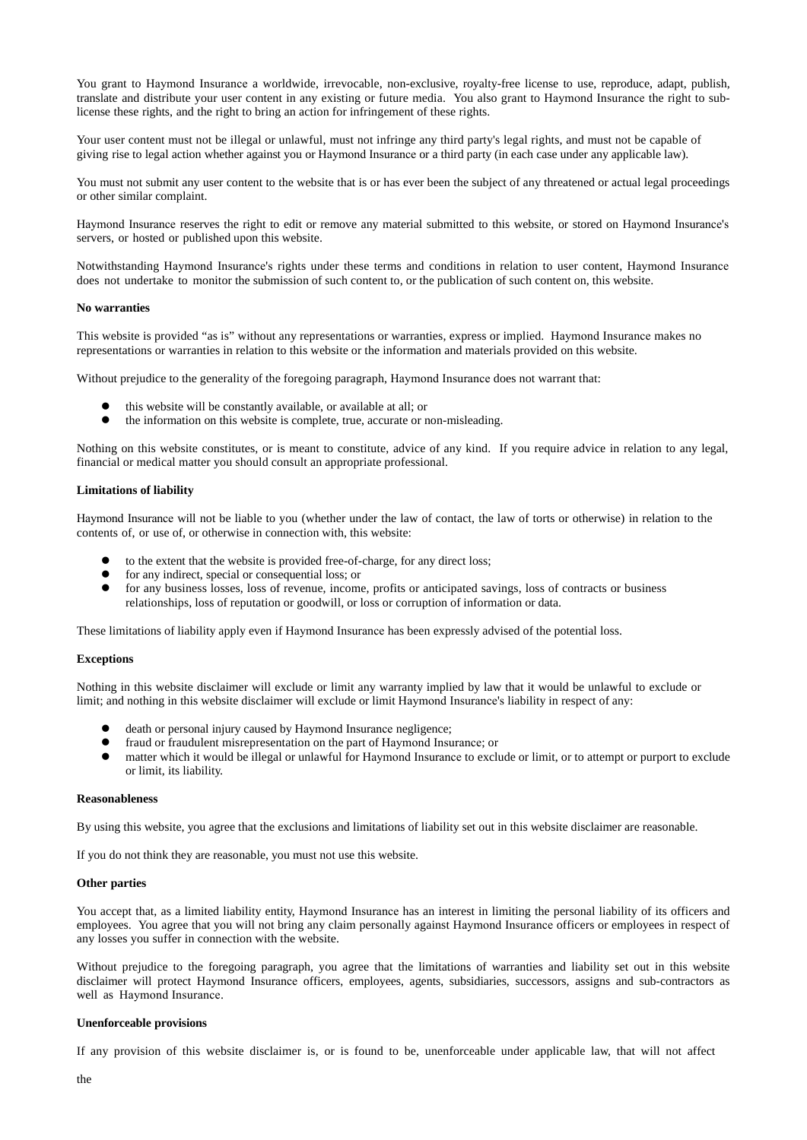You grant to Haymond Insurance a worldwide, irrevocable, non-exclusive, royalty-free license to use, reproduce, adapt, publish, translate and distribute your user content in any existing or future media. You also grant to Haymond Insurance the right to sublicense these rights, and the right to bring an action for infringement of these rights.

Your user content must not be illegal or unlawful, must not infringe any third party's legal rights, and must not be capable of giving rise to legal action whether against you or Haymond Insurance or a third party (in each case under any applicable law).

You must not submit any user content to the website that is or has ever been the subject of any threatened or actual legal proceedings or other similar complaint.

Haymond Insurance reserves the right to edit or remove any material submitted to this website, or stored on Haymond Insurance's servers, or hosted or published upon this website.

Notwithstanding Haymond Insurance's rights under these terms and conditions in relation to user content, Haymond Insurance does not undertake to monitor the submission of such content to, or the publication of such content on, this website.

## **No warranties**

This website is provided "as is" without any representations or warranties, express or implied. Haymond Insurance makes no representations or warranties in relation to this website or the information and materials provided on this website.

Without prejudice to the generality of the foregoing paragraph, Haymond Insurance does not warrant that:

- this website will be constantly available, or available at all; or
- the information on this website is complete, true, accurate or non-misleading.

Nothing on this website constitutes, or is meant to constitute, advice of any kind. If you require advice in relation to any legal, financial or medical matter you should consult an appropriate professional.

## **Limitations of liability**

Haymond Insurance will not be liable to you (whether under the law of contact, the law of torts or otherwise) in relation to the contents of, or use of, or otherwise in connection with, this website:

- to the extent that the website is provided free-of-charge, for any direct loss;
- for any indirect, special or consequential loss; or
- for any business losses, loss of revenue, income, profits or anticipated savings, loss of contracts or business relationships, loss of reputation or goodwill, or loss or corruption of information or data.

These limitations of liability apply even if Haymond Insurance has been expressly advised of the potential loss.

### **Exceptions**

Nothing in this website disclaimer will exclude or limit any warranty implied by law that it would be unlawful to exclude or limit; and nothing in this website disclaimer will exclude or limit Haymond Insurance's liability in respect of any:

- death or personal injury caused by Haymond Insurance negligence;
- fraud or fraudulent misrepresentation on the part of Haymond Insurance; or
- matter which it would be illegal or unlawful for Haymond Insurance to exclude or limit, or to attempt or purport to exclude or limit, its liability.

## **Reasonableness**

By using this website, you agree that the exclusions and limitations of liability set out in this website disclaimer are reasonable.

If you do not think they are reasonable, you must not use this website.

## **Other parties**

You accept that, as a limited liability entity, Haymond Insurance has an interest in limiting the personal liability of its officers and employees. You agree that you will not bring any claim personally against Haymond Insurance officers or employees in respect of any losses you suffer in connection with the website.

Without prejudice to the foregoing paragraph, you agree that the limitations of warranties and liability set out in this website disclaimer will protect Haymond Insurance officers, employees, agents, subsidiaries, successors, assigns and sub-contractors as well as Haymond Insurance.

### **Unenforceable provisions**

If any provision of this website disclaimer is, or is found to be, unenforceable under applicable law, that will not affect